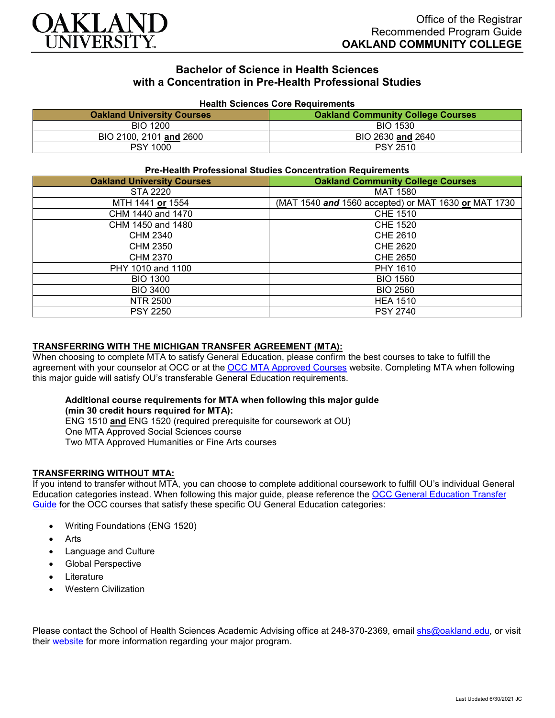

# **Bachelor of Science in Health Sciences with a Concentration in Pre-Health Professional Studies**

#### **Health Sciences Core Requirements**

| <b>Oakland University Courses</b> | <b>Oakland Community College Courses</b> |
|-----------------------------------|------------------------------------------|
| <b>BIO 1200</b>                   | <b>BIO 1530</b>                          |
| BIO 2100, 2101 and 2600           | BIO 2630 and 2640                        |
| <b>PSY 1000</b>                   | <b>PSY 2510</b>                          |

#### **Pre-Health Professional Studies Concentration Requirements**

| <b>Oakland University Courses</b> | <b>Oakland Community College Courses</b>             |
|-----------------------------------|------------------------------------------------------|
| <b>STA 2220</b>                   | <b>MAT 1580</b>                                      |
| MTH 1441 or 1554                  | (MAT 1540 and 1560 accepted) or MAT 1630 or MAT 1730 |
| CHM 1440 and 1470                 | <b>CHE 1510</b>                                      |
| CHM 1450 and 1480                 | <b>CHE 1520</b>                                      |
| CHM 2340                          | <b>CHE 2610</b>                                      |
| CHM 2350                          | <b>CHE 2620</b>                                      |
| CHM 2370                          | <b>CHE 2650</b>                                      |
| PHY 1010 and 1100                 | PHY 1610                                             |
| <b>BIO 1300</b>                   | <b>BIO 1560</b>                                      |
| <b>BIO 3400</b>                   | <b>BIO 2560</b>                                      |
| <b>NTR 2500</b>                   | <b>HEA 1510</b>                                      |
| <b>PSY 2250</b>                   | <b>PSY 2740</b>                                      |

#### **TRANSFERRING WITH THE MICHIGAN TRANSFER AGREEMENT (MTA):**

When choosing to complete MTA to satisfy General Education, please confirm the best courses to take to fulfill the agreement with your counselor at OCC or at the [OCC MTA Approved Courses](http://catalog.oaklandcc.edu/graduation-requirements/michigan-transfer-agreement/) website. Completing MTA when following this major guide will satisfy OU's transferable General Education requirements.

### **Additional course requirements for MTA when following this major guide**

**(min 30 credit hours required for MTA):**

ENG 1510 **and** ENG 1520 (required prerequisite for coursework at OU) One MTA Approved Social Sciences course Two MTA Approved Humanities or Fine Arts courses

### **TRANSFERRING WITHOUT MTA:**

If you intend to transfer without MTA, you can choose to complete additional coursework to fulfill OU's individual General Education categories instead. When following this major guide, please reference the [OCC General Education Transfer](https://www.oakland.edu/Assets/Oakland/program-guides/oakland-community-college/university-general-education-requirements/OCC%20Gen%20Ed.pdf)  [Guide](https://www.oakland.edu/Assets/Oakland/program-guides/oakland-community-college/university-general-education-requirements/OCC%20Gen%20Ed.pdf) for the OCC courses that satisfy these specific OU General Education categories:

- Writing Foundations (ENG 1520)
- **Arts**
- Language and Culture
- Global Perspective
- **Literature**
- Western Civilization

Please contact the School of Health Sciences Academic Advising office at 248-370-2369, email [shs@oakland.edu,](mailto:shs@oakland.edu) or visit their [website](http://www.oakland.edu/shs/advising) for more information regarding your major program.